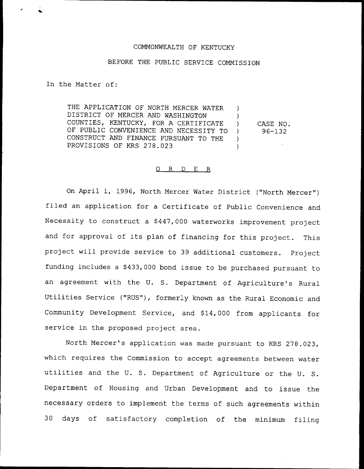## COMMONWEALTH OF KENTUCKY

## BEFORE THE PUBLIC SERVICE COMMISSION

In the Matter of:

%a

THE APPLICATION OF NORTH MERCER WATER DISTRICT OF MERCER AND WASHINGTON COUNTIES, KENTUCKY, FOR A CERTIFICATE OF PUBLIC CONVENIENCE AND NECESSITY TO CONSTRUCT AND FINANCE PURSUANT TO THE PROVISIONS OF KRS 278.023 ) ) ) CASE NO. ) 96-132 )  $\lambda$ 

## 0 R <sup>D</sup> E R

On April 1, 1996, North Mercer Water District ("North Mercer" ) filed an application for <sup>a</sup> Certificate of Public Convenience and Necessity to construct a \$447,000 waterworks improvement project and for approval of its plan of financing for this project. This project will provide service to 39 additional customers. Project funding includes a \$433,000 bond issue to be purchased pursuant to an agreement with the U. S. Department of Agriculture's Rural Utilities Service ("RUS"), formerly known as the Rural Economic and Community Development Service, and \$ 14,000 from applicants for service in the proposed project area.

North Mercer's application was made pursuant to KRS 278.023, which requires the Commission to accept agreements between water utilities and the U. S. Department of Agriculture or the U. S. Department of Housing and Urban Development and to issue the necessary orders to implement the terms of such agreements within 30 days of satisfactory completion of the minimum filing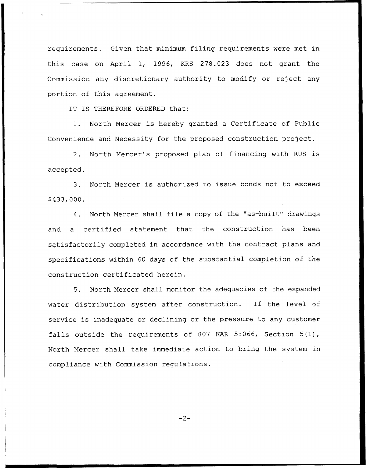requirements. Given that minimum filing requirements were met in this case on April 1, 1996, KRS 278.023 does not grant the Commission any discretionary authority to modify or reject any portion of this agreement.

IT IS THEREFORE ORDERED that:

1. North Mercer is hereby granted <sup>a</sup> Certificate of Public Convenience and Necessity for the proposed construction project.

2. North Mercer's proposed plan of financing with RUS is accepted.

3. North Mercer is authorized to issue bonds not to exceed \$ 433,000.

4. North Mercer shall file <sup>a</sup> copy of the "as-built" drawings and a certified statement that the construction has been satisfactorily completed in accordance with the contract plans and specifications within 60 days of the substantial completion of the construction certificated herein.

5. North Mercer shall monitor the adequacies of the expanded water distribution system after construction. If the level of service is inadequate or declining or the pressure to any customer falls outside the requirements of 807 KAR 5:066, Section 5(1), North Mercer shall take immediate action to bring the system in compliance with Commission regulations.

 $-2-$